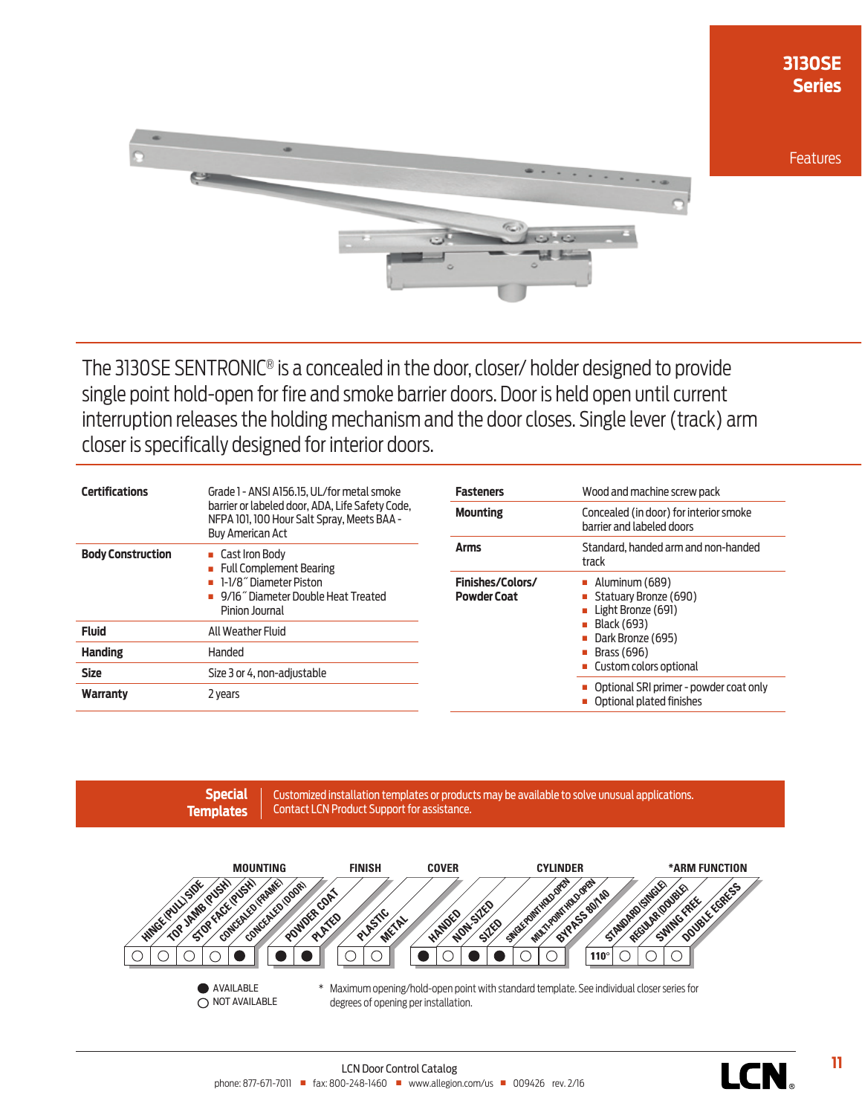

The 3130SE SENTRONIC® is a concealed in the door, closer/ holder designed to provide single point hold-open for fire and smoke barrier doors. Door is held open until current interruption releases the holding mechanism and the door closes. Single lever (track) arm closer is specifically designed for interior doors.

| <b>Certifications</b>    | Grade 1 - ANSI A156.15. UL/for metal smoke<br>barrier or labeled door. ADA. Life Safety Code.<br>NFPA 101, 100 Hour Salt Spray, Meets BAA -<br><b>Buy American Act</b> |  |  |
|--------------------------|------------------------------------------------------------------------------------------------------------------------------------------------------------------------|--|--|
| <b>Body Construction</b> | Cast Iron Body<br>• Full Complement Bearing<br><b>1-1/8<sup>"</sup> Diameter Piston</b><br>• 9/16" Diameter Double Heat Treated<br>Pinion Journal                      |  |  |
| <b>Fluid</b>             | All Weather Fluid                                                                                                                                                      |  |  |
| <b>Handing</b>           | Handed                                                                                                                                                                 |  |  |
| <b>Size</b>              | Size 3 or 4, non-adjustable                                                                                                                                            |  |  |
| Warranty                 | 2 years                                                                                                                                                                |  |  |

| <b>Fasteners</b>                       | Wood and machine screw pack                                                                                                                                   |  |  |  |
|----------------------------------------|---------------------------------------------------------------------------------------------------------------------------------------------------------------|--|--|--|
| <b>Mounting</b>                        | Concealed (in door) for interior smoke<br>barrier and labeled doors                                                                                           |  |  |  |
| <b>Arms</b>                            | Standard, handed arm and non-handed<br>track                                                                                                                  |  |  |  |
| Finishes/Colors/<br><b>Powder Coat</b> | $\blacksquare$ Aluminum (689)<br>Statuary Bronze (690)<br>Light Bronze (691)<br>■ Black (693)<br>Dark Bronze (695)<br>Brass (696)<br>■ Custom colors optional |  |  |  |
|                                        | Optional SRI primer - powder coat only<br>Optional plated finishes                                                                                            |  |  |  |

Customized installation templates or products may be available to solve unusual applications. Contact LCN Product Support for assistance. **Special Templates**



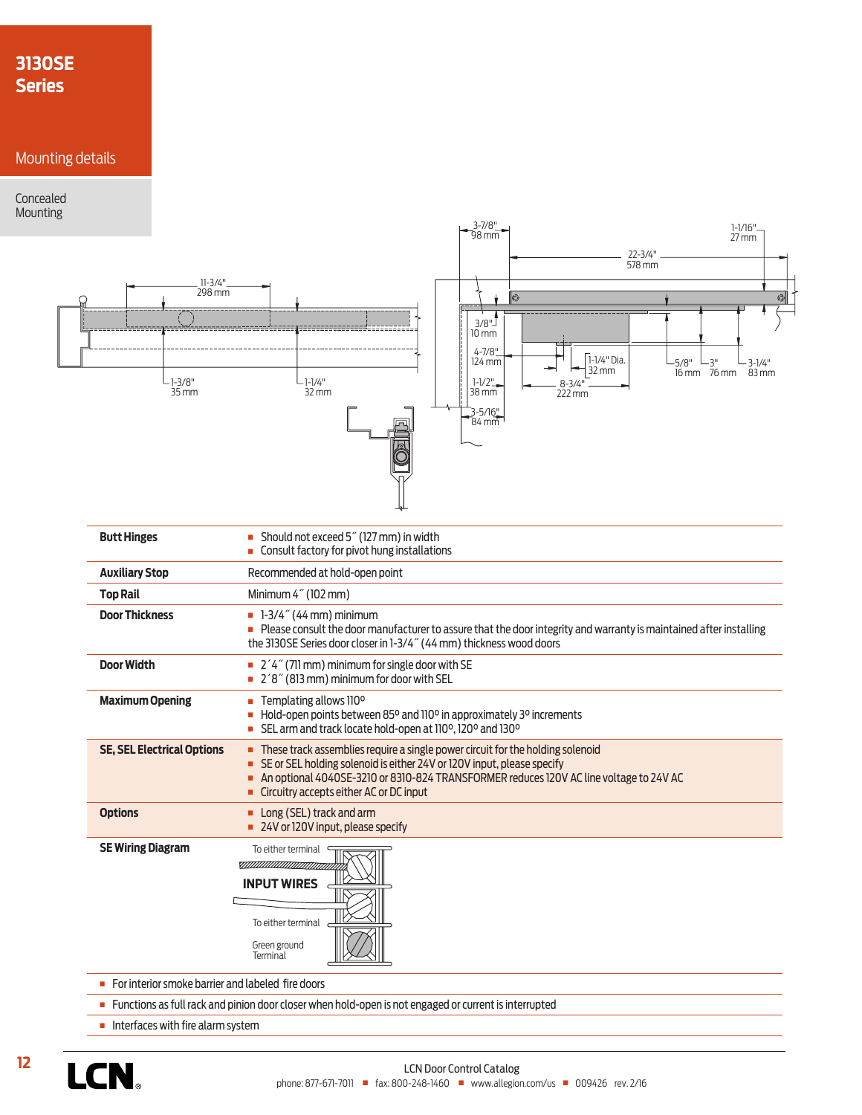# **3130SE Series**

## Mounting details

#### Concealed Mounting



**n** For interior smoke barrier and labeled fire doors

<sup>n</sup> Functions as full rack and pinion door closer when hold-open is not engaged or current is interrupted

Green ground Terminal

 $\blacksquare$  Interfaces with fire alarm system

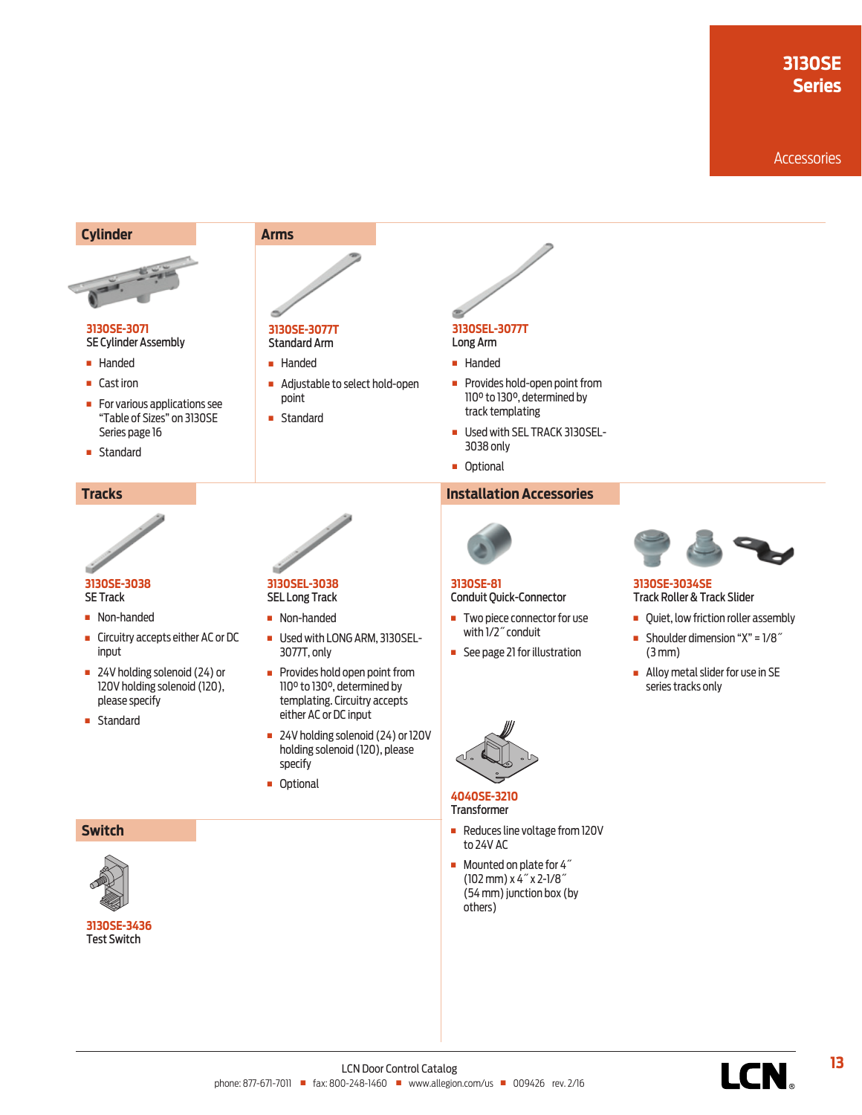# **3130SE Series**

#### **Accessories**